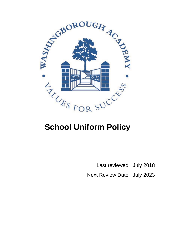

# **School Uniform Policy**

 Last reviewed: July 2018 Next Review Date: July 2023